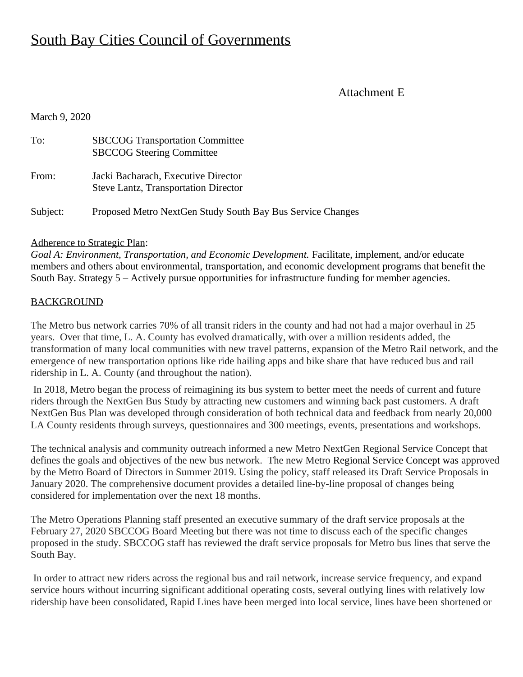## South Bay Cities Council of Governments

### Attachment E

March 9, 2020

| To:      | <b>SBCCOG Transportation Committee</b><br><b>SBCCOG Steering Committee</b>         |
|----------|------------------------------------------------------------------------------------|
| From:    | Jacki Bacharach, Executive Director<br><b>Steve Lantz, Transportation Director</b> |
| Subject: | Proposed Metro NextGen Study South Bay Bus Service Changes                         |

#### Adherence to Strategic Plan:

*Goal A: Environment, Transportation, and Economic Development.* Facilitate, implement, and/or educate members and others about environmental, transportation, and economic development programs that benefit the South Bay. Strategy 5 – Actively pursue opportunities for infrastructure funding for member agencies.

#### **BACKGROUND**

The Metro bus network carries 70% of all transit riders in the county and had not had a major overhaul in 25 years. Over that time, L. A. County has evolved dramatically, with over a million residents added, the transformation of many local communities with new travel patterns, expansion of the Metro Rail network, and the emergence of new transportation options like ride hailing apps and bike share that have reduced bus and rail ridership in L. A. County (and throughout the nation).

In 2018, Metro began the process of reimagining its bus system to better meet the needs of current and future riders through the NextGen Bus Study by attracting new customers and winning back past customers. A draft NextGen Bus Plan was developed through consideration of both technical data and feedback from nearly 20,000 LA County residents through surveys, questionnaires and 300 meetings, events, presentations and workshops.

The technical analysis and community outreach informed a new Metro NextGen Regional Service Concept that defines the goals and objectives of the new bus network. The new Metro [Regional Service Concept](http://media.metro.net/projects_studies/nextgen/images/Ops_Committee_NG_Regional_Service_Concept_2019-0718.pdf) was approved by the Metro Board of Directors in Summer 2019. Using the policy, staff released its Draft Service Proposals in January 2020. The comprehensive document provides a detailed line-by-line proposal of changes being considered for implementation over the next 18 months.

The Metro Operations Planning staff presented an executive summary of the draft service proposals at the February 27, 2020 SBCCOG Board Meeting but there was not time to discuss each of the specific changes proposed in the study. SBCCOG staff has reviewed the draft service proposals for Metro bus lines that serve the South Bay.

In order to attract new riders across the regional bus and rail network, increase service frequency, and expand service hours without incurring significant additional operating costs, several outlying lines with relatively low ridership have been consolidated, Rapid Lines have been merged into local service, lines have been shortened or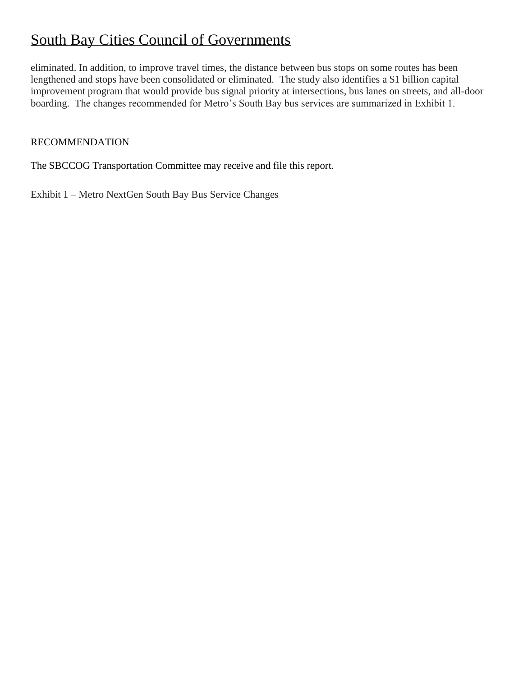## South Bay Cities Council of Governments

eliminated. In addition, to improve travel times, the distance between bus stops on some routes has been lengthened and stops have been consolidated or eliminated. The study also identifies a \$1 billion capital improvement program that would provide bus signal priority at intersections, bus lanes on streets, and all-door boarding. The changes recommended for Metro's South Bay bus services are summarized in Exhibit 1.

### RECOMMENDATION

The SBCCOG Transportation Committee may receive and file this report.

Exhibit 1 – Metro NextGen South Bay Bus Service Changes